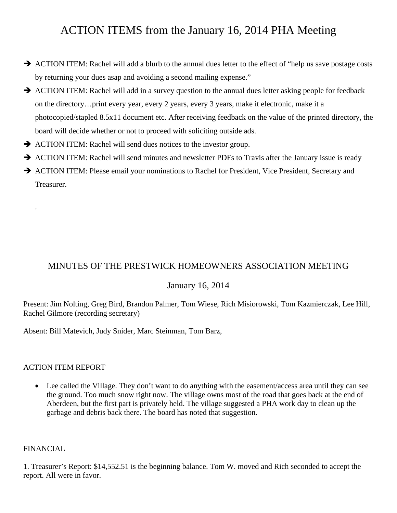# ACTION ITEMS from the January 16, 2014 PHA Meeting

- $\rightarrow$  ACTION ITEM: Rachel will add a blurb to the annual dues letter to the effect of "help us save postage costs by returning your dues asap and avoiding a second mailing expense."
- $\rightarrow$  ACTION ITEM: Rachel will add in a survey question to the annual dues letter asking people for feedback on the directory…print every year, every 2 years, every 3 years, make it electronic, make it a photocopied/stapled 8.5x11 document etc. After receiving feedback on the value of the printed directory, the board will decide whether or not to proceed with soliciting outside ads.
- $\rightarrow$  ACTION ITEM: Rachel will send dues notices to the investor group.
- $\rightarrow$  ACTION ITEM: Rachel will send minutes and newsletter PDFs to Travis after the January issue is ready
- $\rightarrow$  ACTION ITEM: Please email your nominations to Rachel for President, Vice President, Secretary and Treasurer.

# MINUTES OF THE PRESTWICK HOMEOWNERS ASSOCIATION MEETING

# January 16, 2014

Present: Jim Nolting, Greg Bird, Brandon Palmer, Tom Wiese, Rich Misiorowski, Tom Kazmierczak, Lee Hill, Rachel Gilmore (recording secretary)

Absent: Bill Matevich, Judy Snider, Marc Steinman, Tom Barz,

#### ACTION ITEM REPORT

• Lee called the Village. They don't want to do anything with the easement/access area until they can see the ground. Too much snow right now. The village owns most of the road that goes back at the end of Aberdeen, but the first part is privately held. The village suggested a PHA work day to clean up the garbage and debris back there. The board has noted that suggestion.

# FINANCIAL

.

1. Treasurer's Report: \$14,552.51 is the beginning balance. Tom W. moved and Rich seconded to accept the report. All were in favor.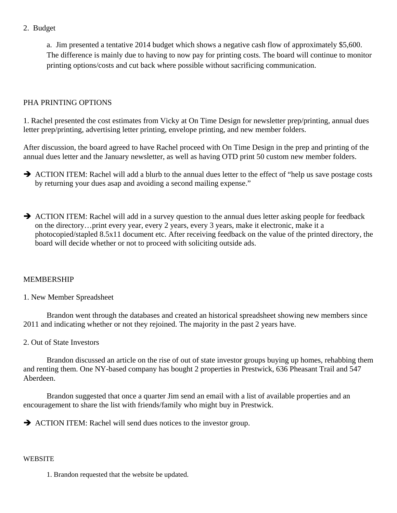2. Budget

a. Jim presented a tentative 2014 budget which shows a negative cash flow of approximately \$5,600. The difference is mainly due to having to now pay for printing costs. The board will continue to monitor printing options/costs and cut back where possible without sacrificing communication.

# PHA PRINTING OPTIONS

1. Rachel presented the cost estimates from Vicky at On Time Design for newsletter prep/printing, annual dues letter prep/printing, advertising letter printing, envelope printing, and new member folders.

After discussion, the board agreed to have Rachel proceed with On Time Design in the prep and printing of the annual dues letter and the January newsletter, as well as having OTD print 50 custom new member folders.

- $\rightarrow$  ACTION ITEM: Rachel will add a blurb to the annual dues letter to the effect of "help us save postage costs" by returning your dues asap and avoiding a second mailing expense."
- $\rightarrow$  ACTION ITEM: Rachel will add in a survey question to the annual dues letter asking people for feedback on the directory…print every year, every 2 years, every 3 years, make it electronic, make it a photocopied/stapled 8.5x11 document etc. After receiving feedback on the value of the printed directory, the board will decide whether or not to proceed with soliciting outside ads.

### MEMBERSHIP

1. New Member Spreadsheet

 Brandon went through the databases and created an historical spreadsheet showing new members since 2011 and indicating whether or not they rejoined. The majority in the past 2 years have.

2. Out of State Investors

 Brandon discussed an article on the rise of out of state investor groups buying up homes, rehabbing them and renting them. One NY-based company has bought 2 properties in Prestwick, 636 Pheasant Trail and 547 Aberdeen.

 Brandon suggested that once a quarter Jim send an email with a list of available properties and an encouragement to share the list with friends/family who might buy in Prestwick.

 $\rightarrow$  ACTION ITEM: Rachel will send dues notices to the investor group.

#### **WEBSITE**

1. Brandon requested that the website be updated.